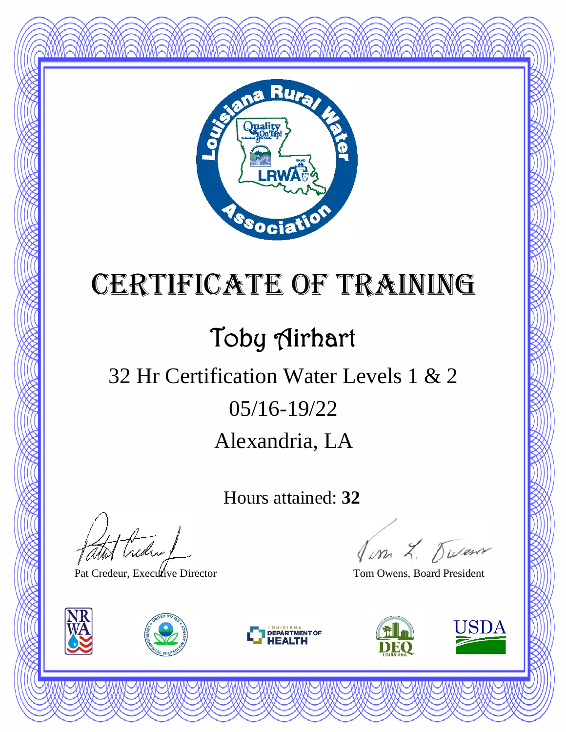

### Toby Airhart

#### Alexandria, LA 05/16-19/22 32 Hr Certification Water Levels 1 & 2

Hours attained: **32**

thedral

Pat Credeur, Executive Director Tom Owens, Board President







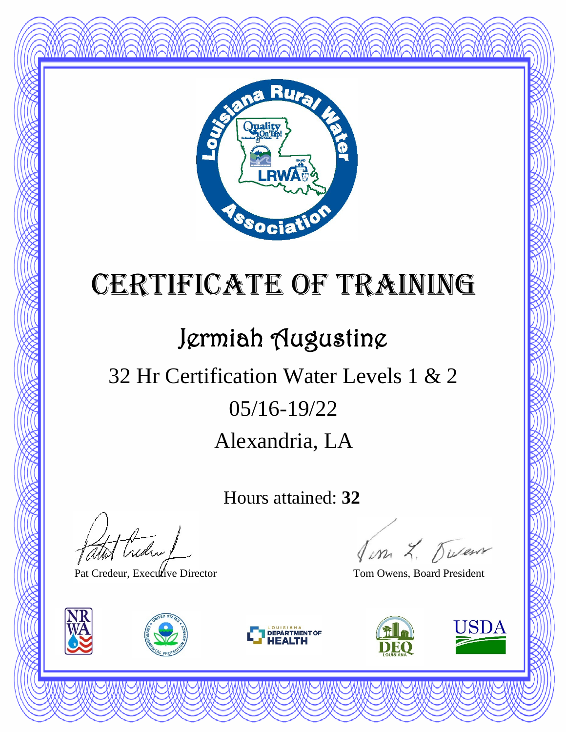

### Jermiah Augustine

### Alexandria, LA 05/16-19/22 32 Hr Certification Water Levels 1 & 2

Hours attained: **32**

Hudry

Pat Credeur, Executive Director Tom Owens, Board President







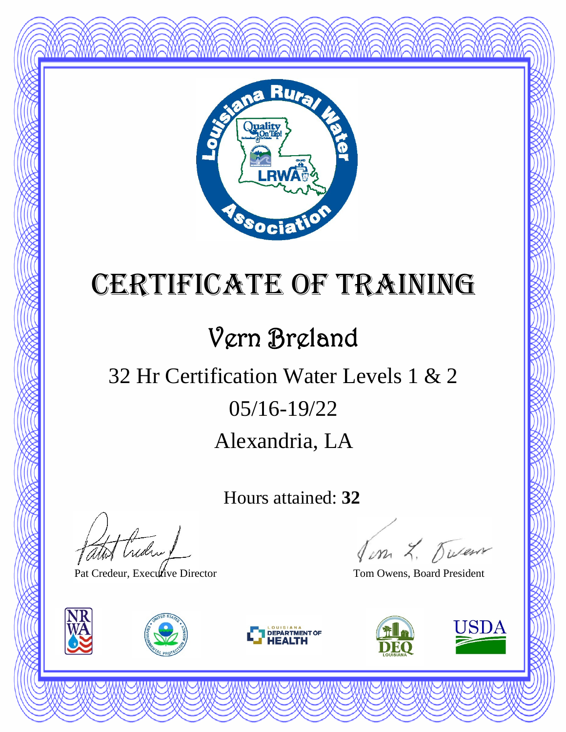

### Vern Breland

### Alexandria, LA 05/16-19/22 32 Hr Certification Water Levels 1 & 2

Hours attained: **32**

atot Creden

Pat Credeur, Executive Director Tom Owens, Board President







Jon L. Duren

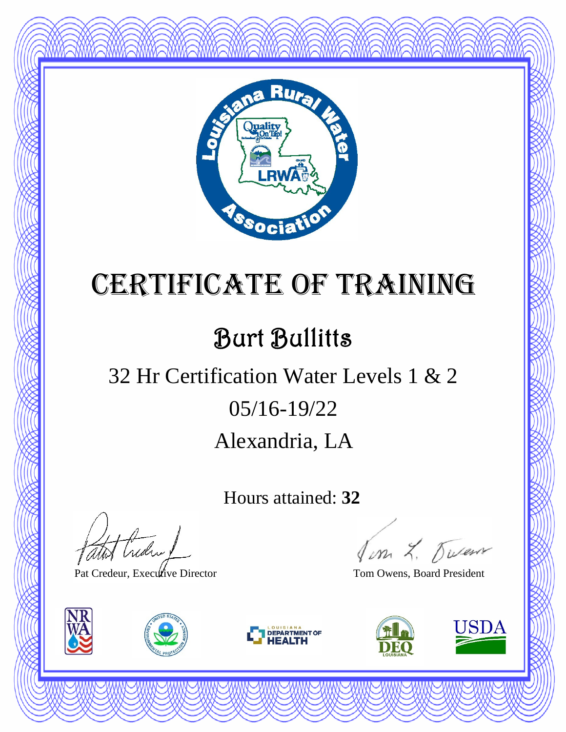

#### Burt Bullitts

#### Alexandria, LA 05/16-19/22 32 Hr Certification Water Levels 1 & 2

Hours attained: **32**

thedral

Pat Credeur, Executive Director Tom Owens, Board President







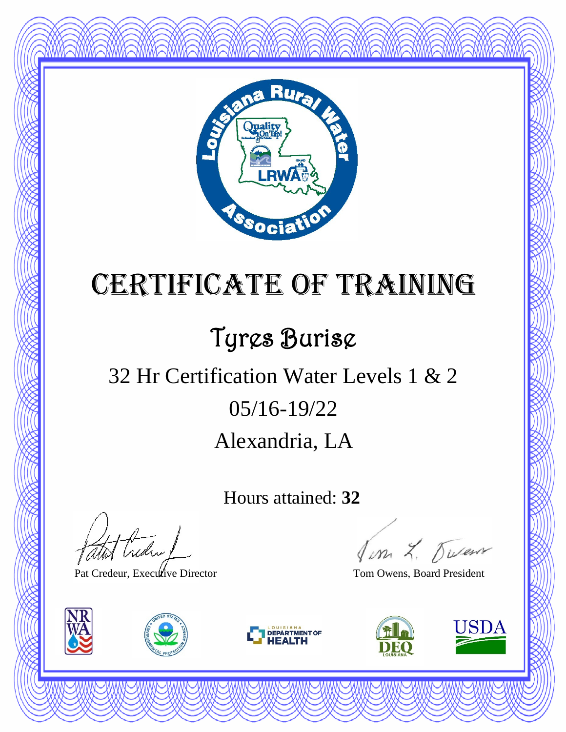

### Tyres Burise

### Alexandria, LA 05/16-19/22 32 Hr Certification Water Levels 1 & 2

Hours attained: **32**

thedral

Pat Credeur, Executive Director Tom Owens, Board President







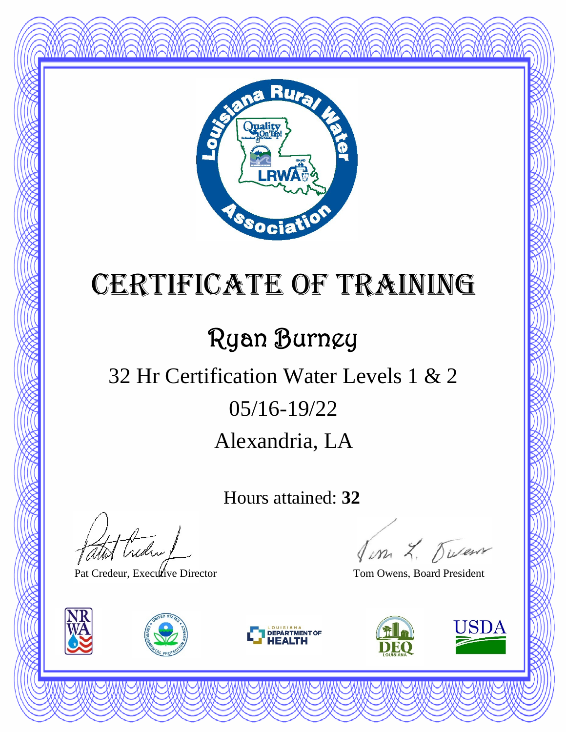

### Ryan Burney

### Alexandria, LA 05/16-19/22 32 Hr Certification Water Levels 1 & 2

Hours attained: **32**

theday!

Pat Credeur, Executive Director Tom Owens, Board President







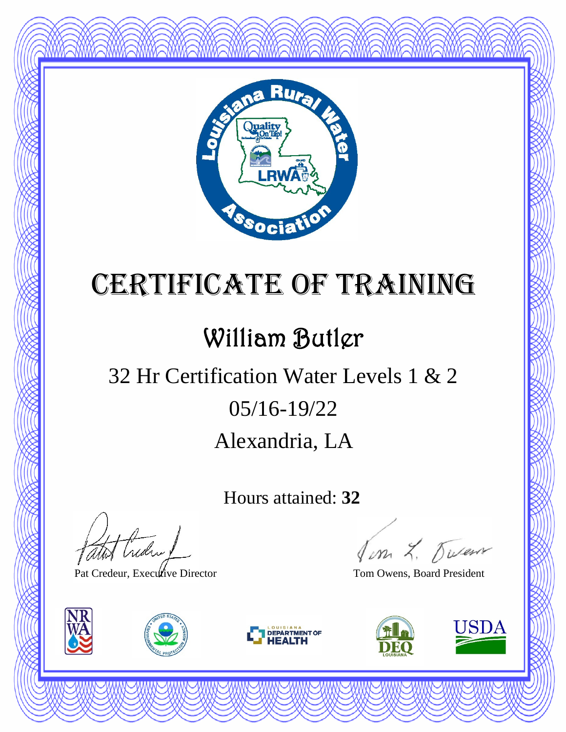

#### William Butler

### Alexandria, LA 05/16-19/22 32 Hr Certification Water Levels 1 & 2

Hours attained: **32**

thedra !

Pat Credeur, Executive Director Tom Owens, Board President







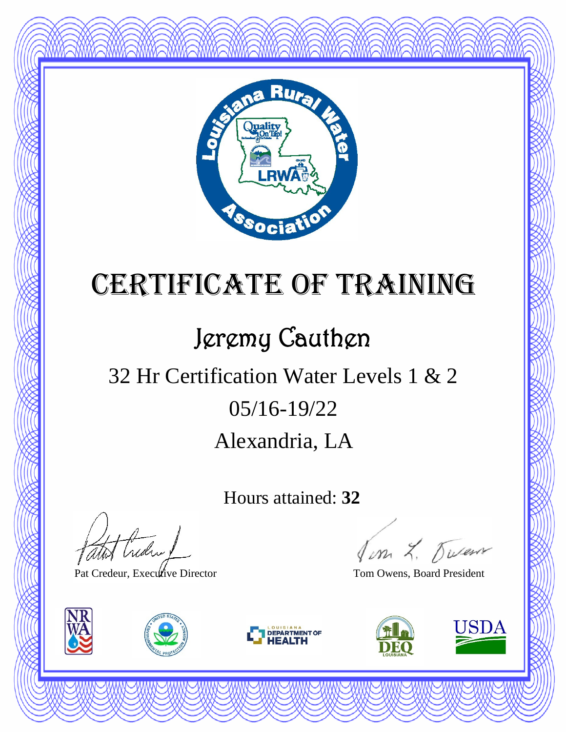

### Jeremy Cauthen

### Alexandria, LA 05/16-19/22 32 Hr Certification Water Levels 1 & 2

Hours attained: **32**

thedra !

Pat Credeur, Executive Director Tom Owens, Board President







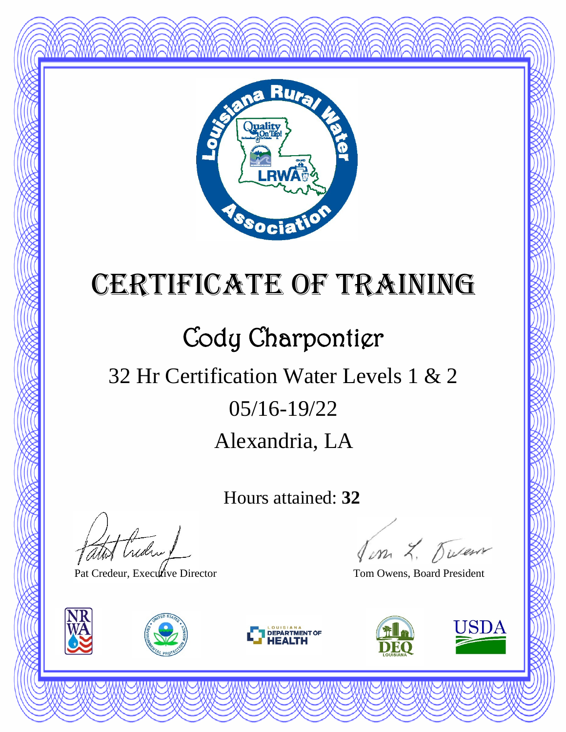

### Cody Charpontier

### Alexandria, LA 05/16-19/22 32 Hr Certification Water Levels 1 & 2

Hours attained: **32**

Hudry

Pat Credeur, Executive Director Tom Owens, Board President







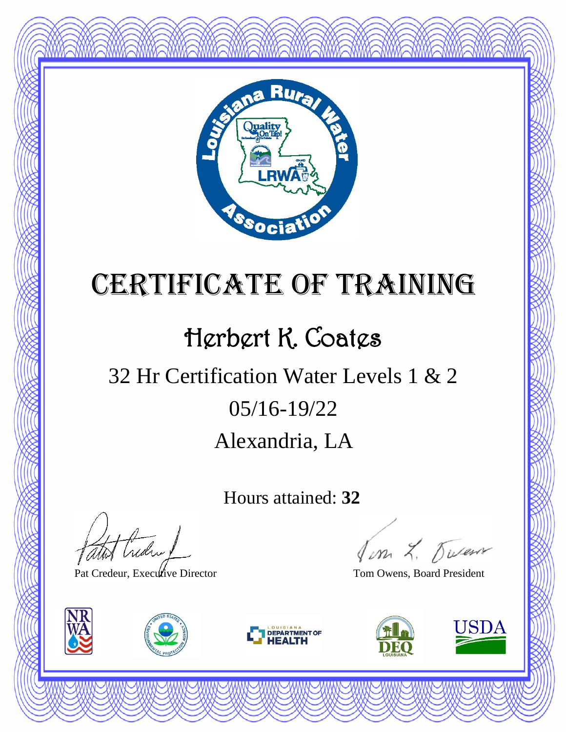

#### Herbert K. Coates

### Alexandria, LA 05/16-19/22 32 Hr Certification Water Levels 1 & 2

Hours attained: **32**

thedral

Pat Credeur, Executive Director Tom Owens, Board President







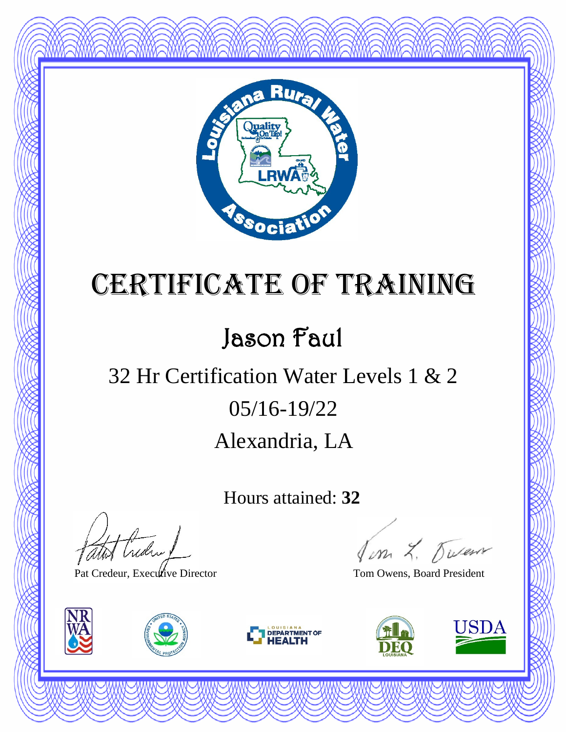

### Jason Faul

#### Alexandria, LA 05/16-19/22 32 Hr Certification Water Levels 1 & 2

Hours attained: **32**

atot Creden 1

Pat Credeur, Executive Director Tom Owens, Board President







Jim L. Duren

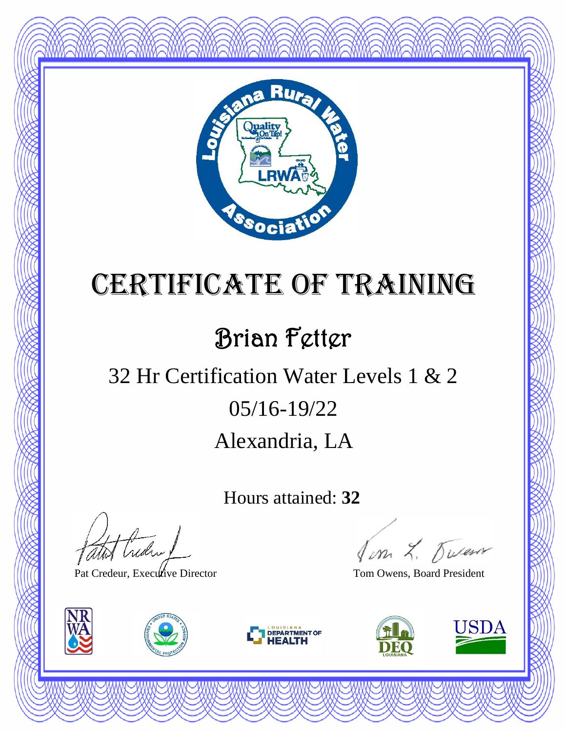

#### Brian Fetter

### Alexandria, LA 05/16-19/22 32 Hr Certification Water Levels 1 & 2

Hours attained: **32**

thedral

Pat Credeur, Executive Director Tom Owens, Board President







Jon L. Duren

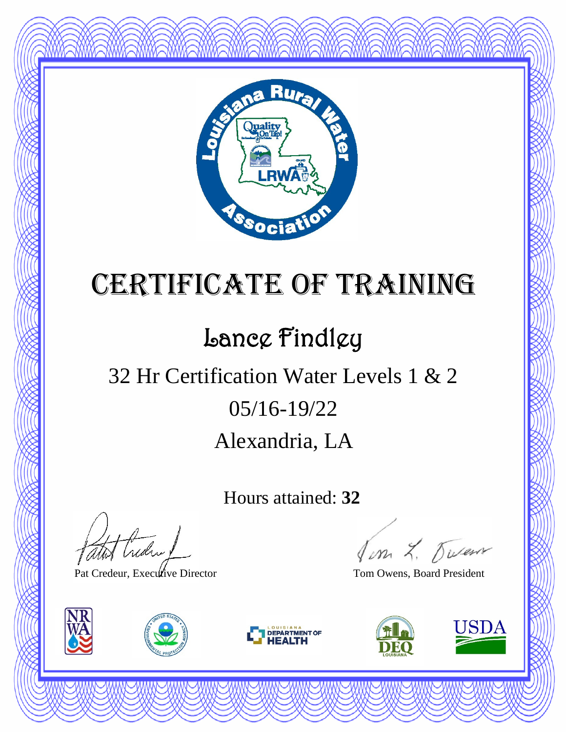

### Lance Findley

### Alexandria, LA 05/16-19/22 32 Hr Certification Water Levels 1 & 2

Hours attained: **32**

thedra !

Pat Credeur, Executive Director Tom Owens, Board President







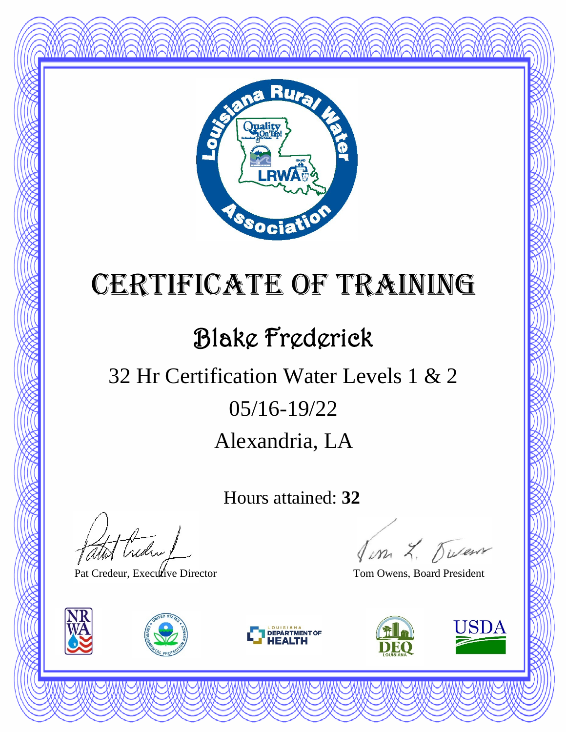

### Blake Frederick

### Alexandria, LA 05/16-19/22 32 Hr Certification Water Levels 1 & 2

Hours attained: **32**

thedra !

Pat Credeur, Executive Director Tom Owens, Board President







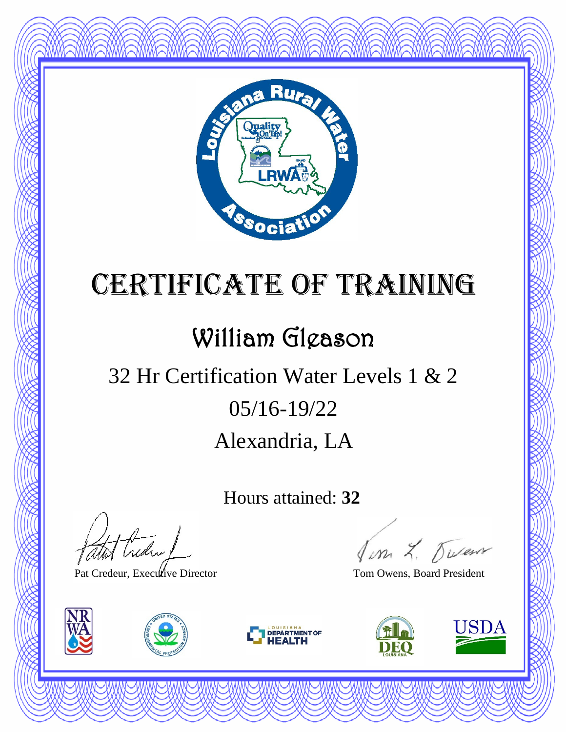

#### William Gleason

### Alexandria, LA 05/16-19/22 32 Hr Certification Water Levels 1 & 2

Hours attained: **32**

thedral

Pat Credeur, Executive Director Tom Owens, Board President







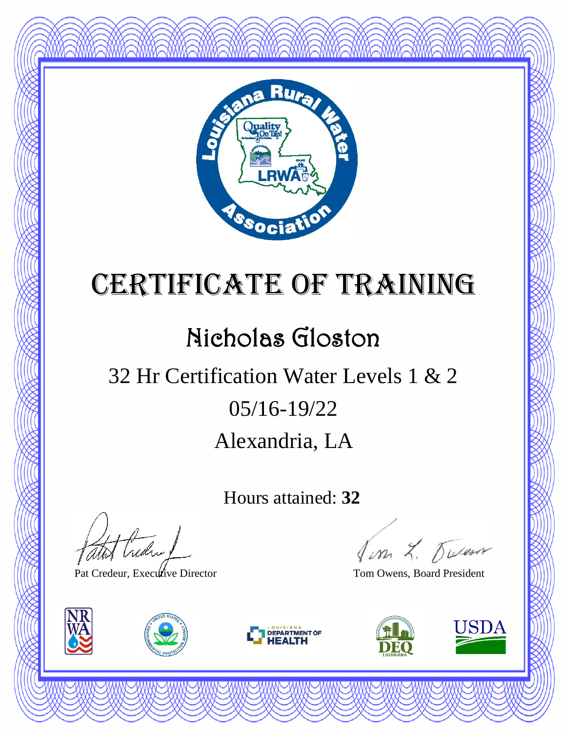

#### Nicholas Gloston

### Alexandria, LA 05/16-19/22 32 Hr Certification Water Levels 1 & 2

Hours attained: **32**

thedral

Pat Credeur, Executive Director Tom Owens, Board President







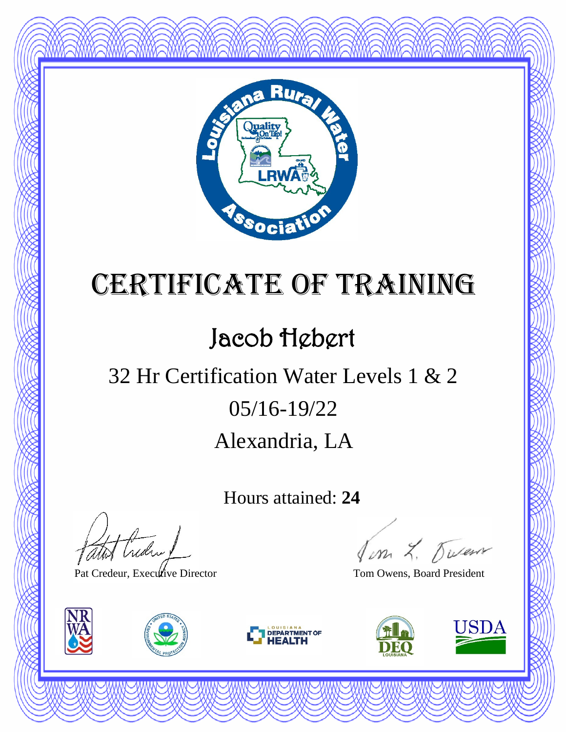

#### Jacob Hebert

### Alexandria, LA 05/16-19/22 32 Hr Certification Water Levels 1 & 2

Hours attained: **24**

atot Creden

Pat Credeur, Executive Director Tom Owens, Board President







Jon L. Duren

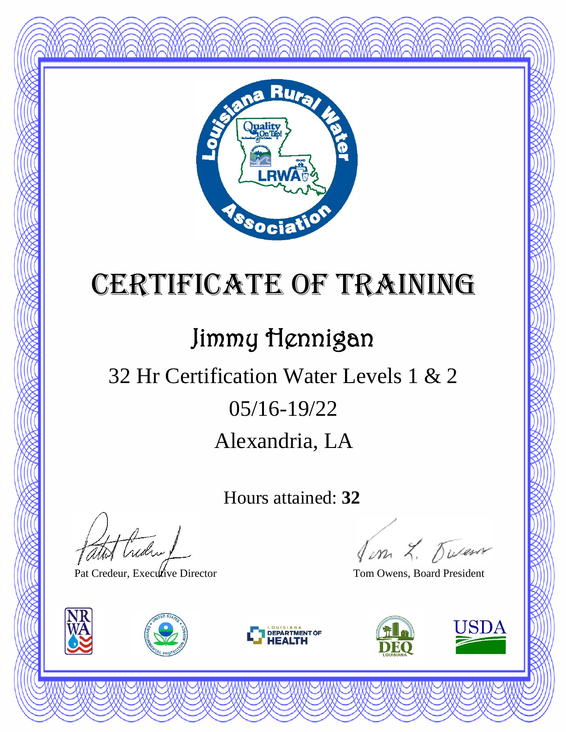

#### Jimmy Hennigan

### Alexandria, LA 05/16-19/22 32 Hr Certification Water Levels 1 & 2

Hours attained: **32**

Hudry

Pat Credeur, Executive Director Tom Owens, Board President







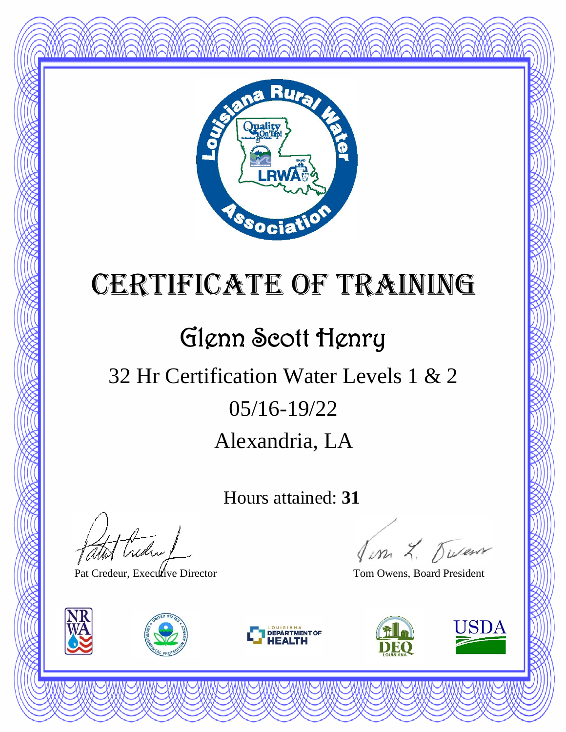

### Glenn Scott Henry

### Alexandria, LA 05/16-19/22 32 Hr Certification Water Levels 1 & 2

Hours attained: **31**

Hudry

Pat Credeur, Executive Director Tom Owens, Board President







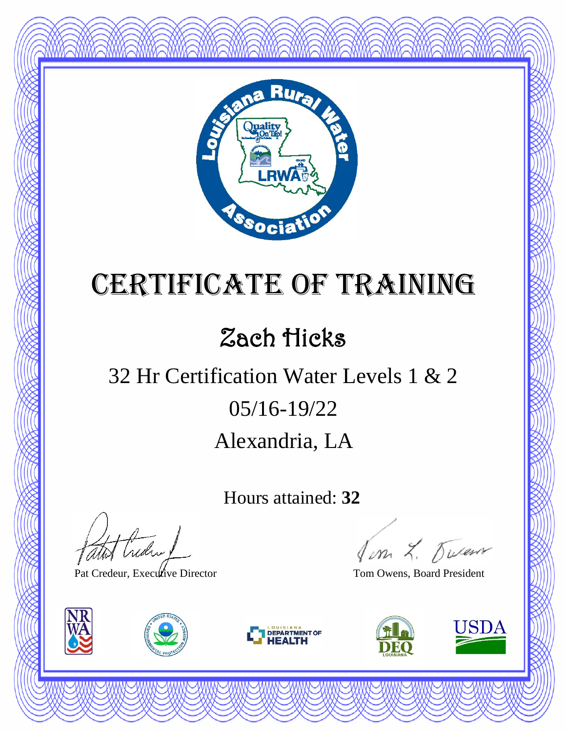

#### Zach Hicks

### Alexandria, LA 05/16-19/22 32 Hr Certification Water Levels 1 & 2

Hours attained: **32**

atot Creden 1

Pat Credeur, Executive Director Tom Owens, Board President







Jim L. Duren

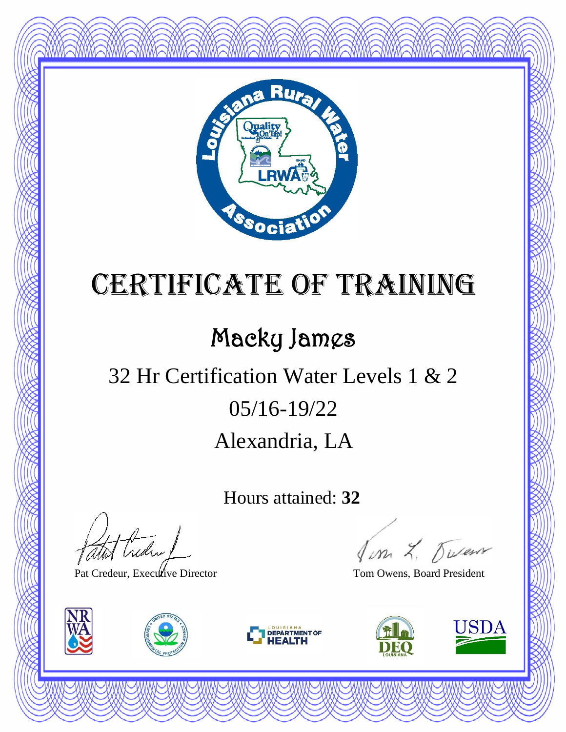

### Macky James

### Alexandria, LA 05/16-19/22 32 Hr Certification Water Levels 1 & 2

Hours attained: **32**

thedral

Pat Credeur, Executive Director Tom Owens, Board President







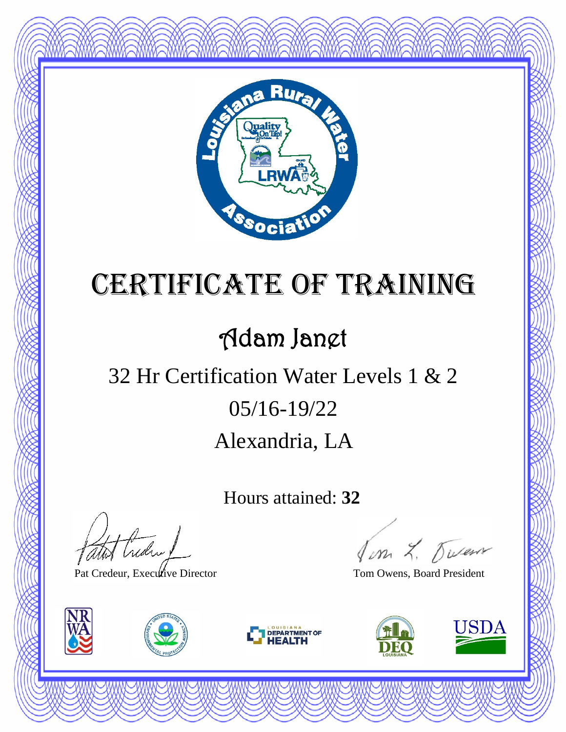

#### Adam Janet

### Alexandria, LA 05/16-19/22 32 Hr Certification Water Levels 1 & 2

Hours attained: **32**

thedral

Pat Credeur, Executive Director Tom Owens, Board President







Jon L. Duren

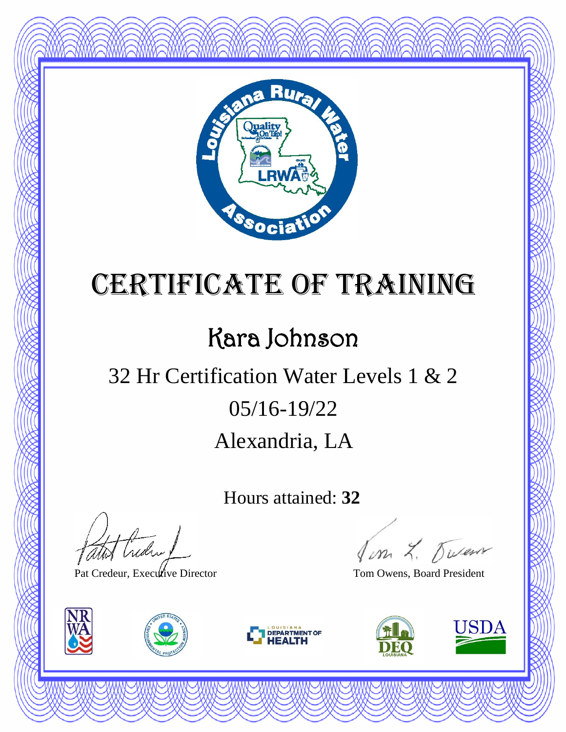

#### Kara Johnson

### Alexandria, LA 05/16-19/22 32 Hr Certification Water Levels 1 & 2

Hours attained: **32**

thedral

Pat Credeur, Executive Director Tom Owens, Board President







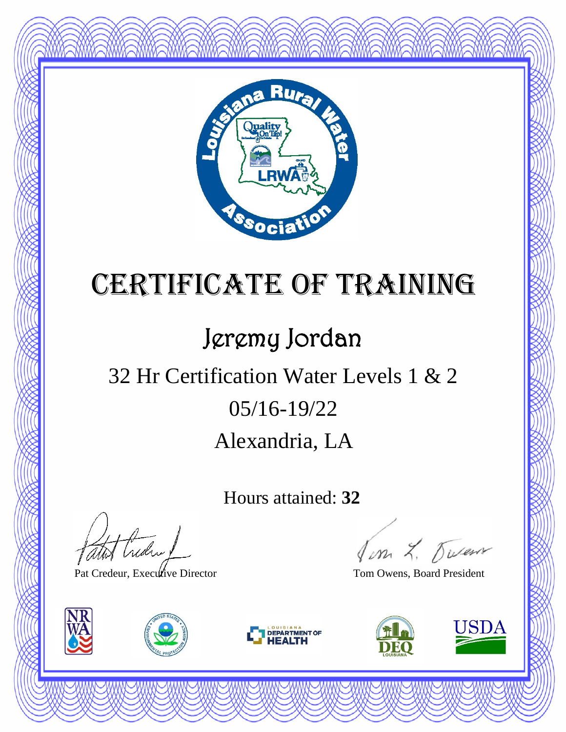

### Jeremy Jordan

### Alexandria, LA 05/16-19/22 32 Hr Certification Water Levels 1 & 2

Hours attained: **32**

thedral

Pat Credeur, Executive Director Tom Owens, Board President







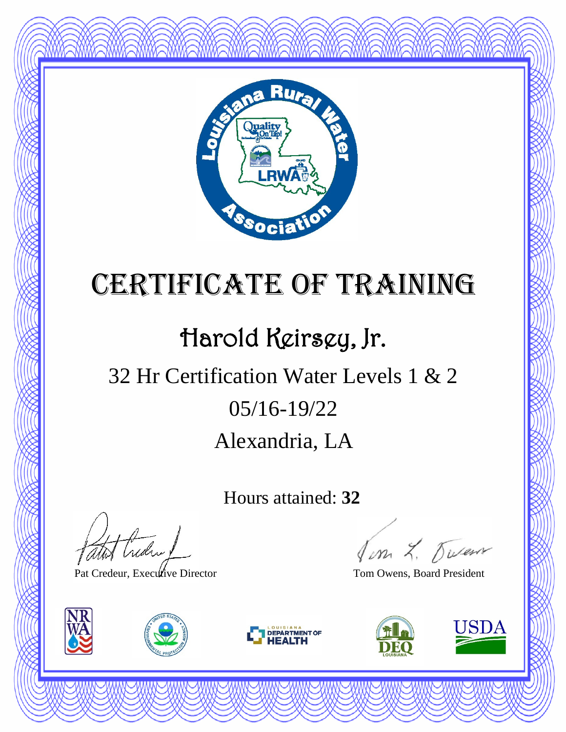

### Harold Keirsey, Jr.

### Alexandria, LA 05/16-19/22 32 Hr Certification Water Levels 1 & 2

Hours attained: **32**

thedra !

Pat Credeur, Executive Director Tom Owens, Board President







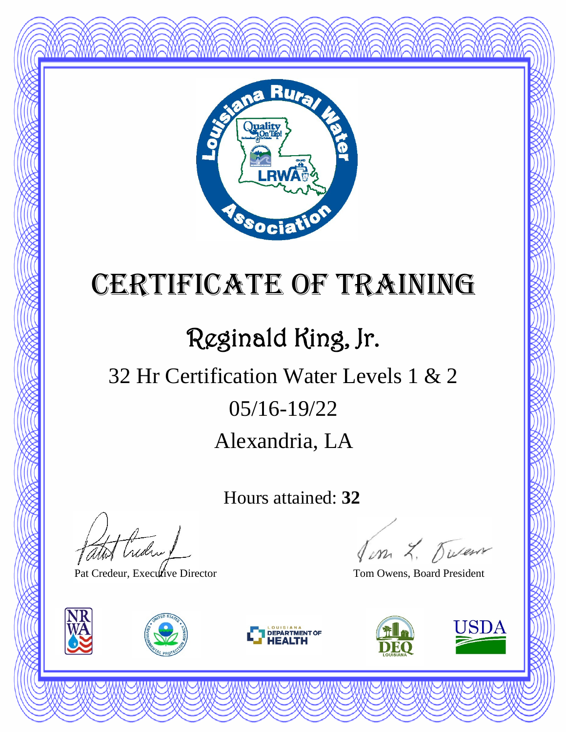

### Reginald King, Jr.

### Alexandria, LA 05/16-19/22 32 Hr Certification Water Levels 1 & 2

Hours attained: **32**

thedra !

Pat Credeur, Executive Director Tom Owens, Board President







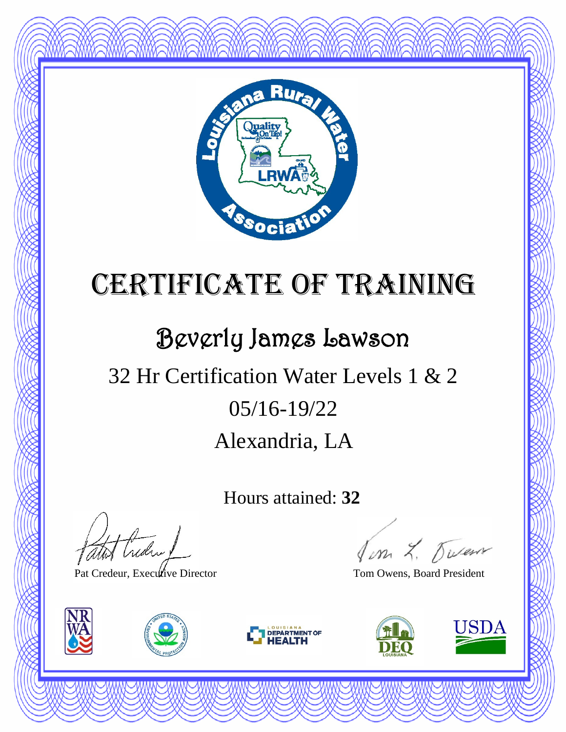

#### Beverly James Lawson

### Alexandria, LA 05/16-19/22 32 Hr Certification Water Levels 1 & 2

Hours attained: **32**

Hudry

Pat Credeur, Executive Director Tom Owens, Board President







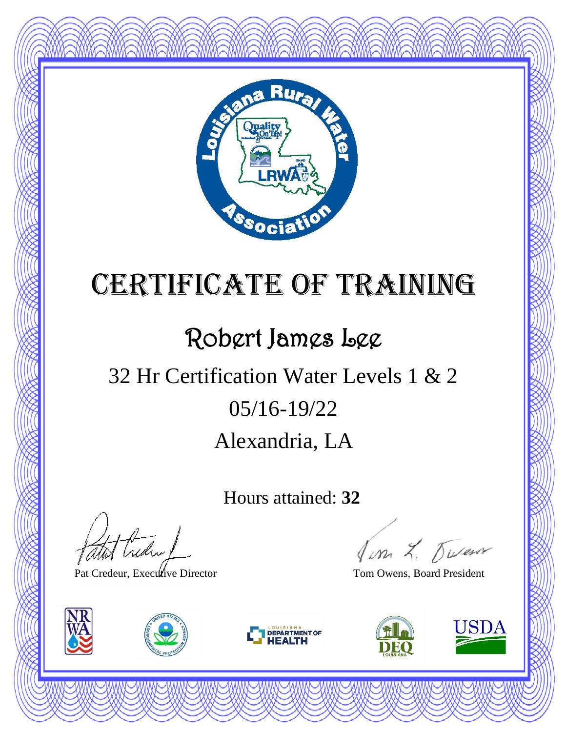

#### Robert James Lee

### Alexandria, LA 05/16-19/22 32 Hr Certification Water Levels 1 & 2

Hours attained: **32**

thedra !

Pat Credeur, Executive Director Tom Owens, Board President







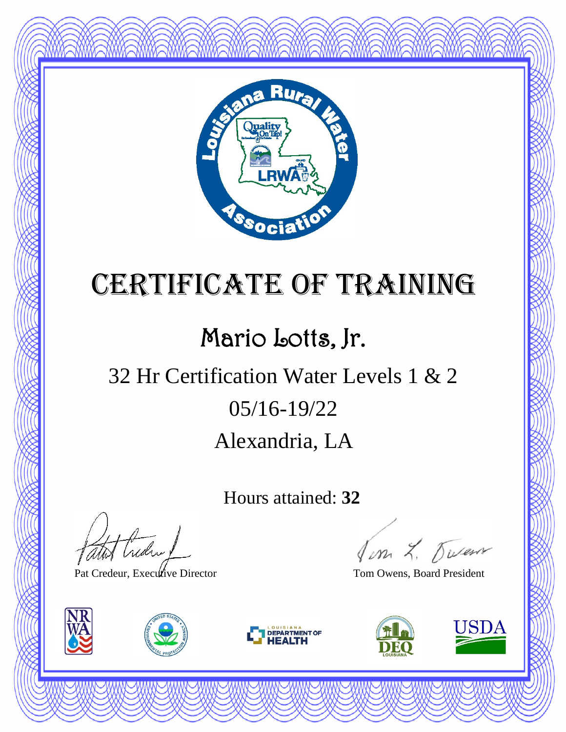

#### Mario Lotts, Jr.

### Alexandria, LA 05/16-19/22 32 Hr Certification Water Levels 1 & 2

Hours attained: **32**

atot treder !

Pat Credeur, Executive Director Tom Owens, Board President







Jon L. Duren

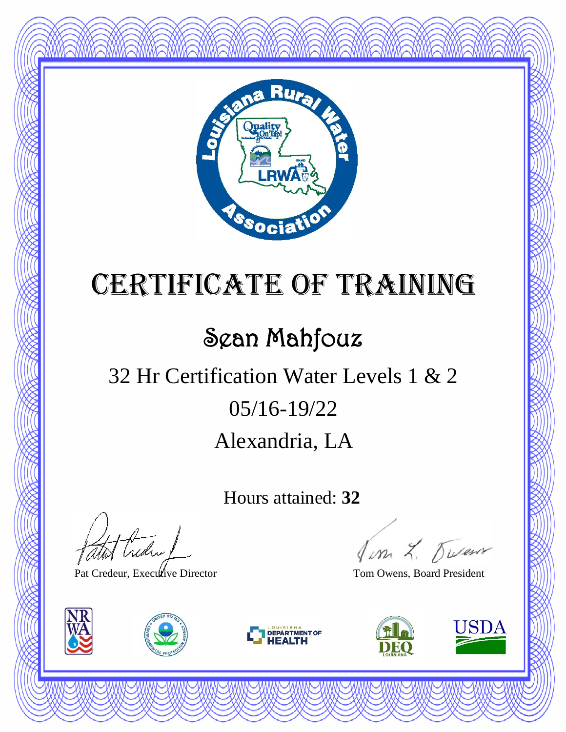

#### Sean Mahfouz

### Alexandria, LA 05/16-19/22 32 Hr Certification Water Levels 1 & 2

Hours attained: **32**

thedral

Pat Credeur, Executive Director Tom Owens, Board President







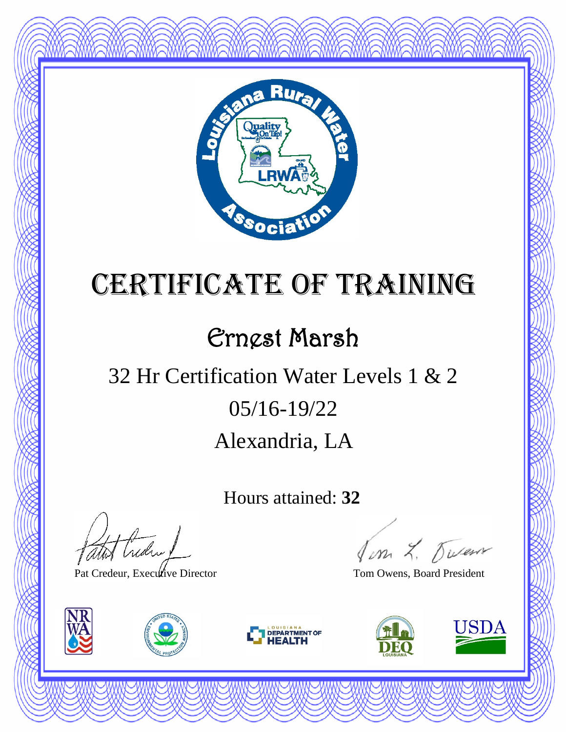

#### Ernest Marsh

### Alexandria, LA 05/16-19/22 32 Hr Certification Water Levels 1 & 2

Hours attained: **32**

atot Creden

Pat Credeur, Executive Director Tom Owens, Board President







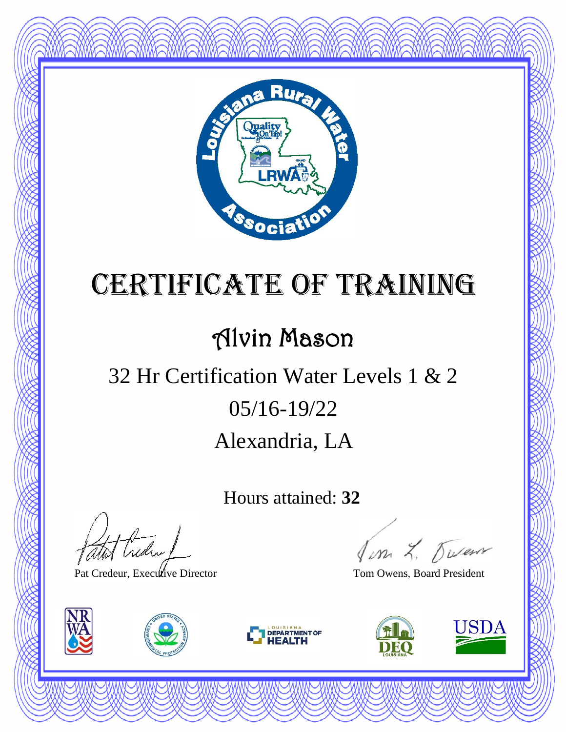

#### Alvin Mason

### Alexandria, LA 05/16-19/22 32 Hr Certification Water Levels 1 & 2

Hours attained: **32**

atot Creden 1

Pat Credeur, Executive Director Tom Owens, Board President







Jon L. Duren

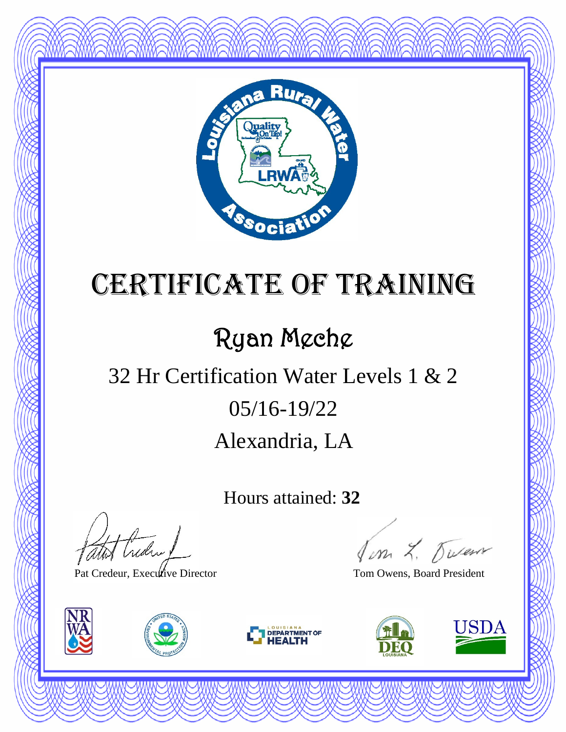

#### Ryan Meche

### Alexandria, LA 05/16-19/22 32 Hr Certification Water Levels 1 & 2

Hours attained: **32**

Hudry

Pat Credeur, Executive Director Tom Owens, Board President







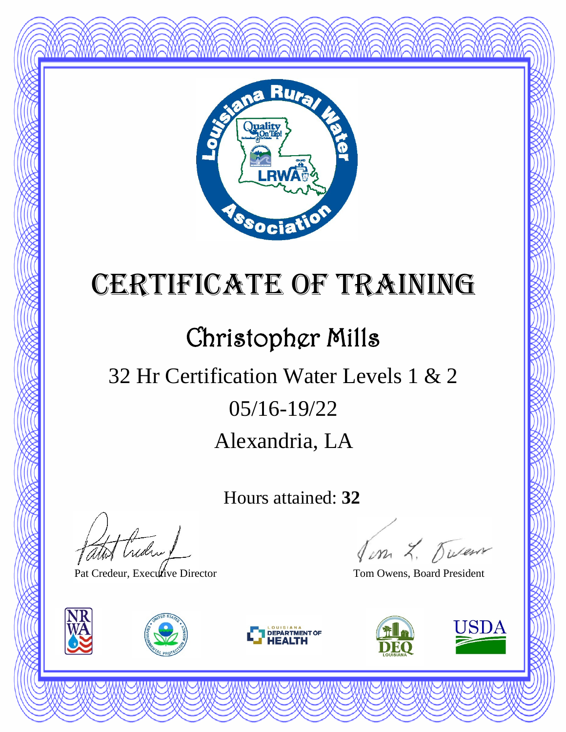

#### Christopher Mills

### Alexandria, LA 05/16-19/22 32 Hr Certification Water Levels 1 & 2

Hours attained: **32**

thedra !

Pat Credeur, Executive Director Tom Owens, Board President







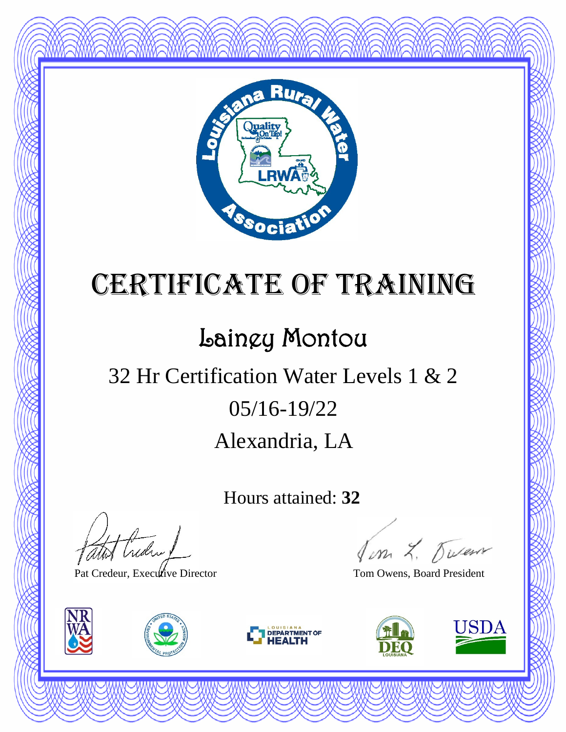

#### Lainey Montou

### Alexandria, LA 05/16-19/22 32 Hr Certification Water Levels 1 & 2

Hours attained: **32**

thedra !

Pat Credeur, Executive Director Tom Owens, Board President







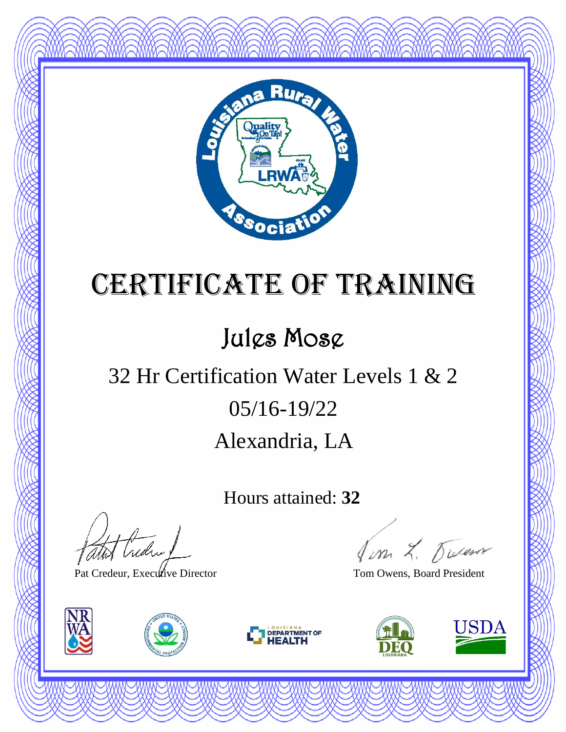

#### Jules Mose

#### Alexandria, LA 05/16-19/22 32 Hr Certification Water Levels 1 & 2

Hours attained: **32**

thedra !

Pat Credeur, Executive Director Tom Owens, Board President







Jim L. Duren

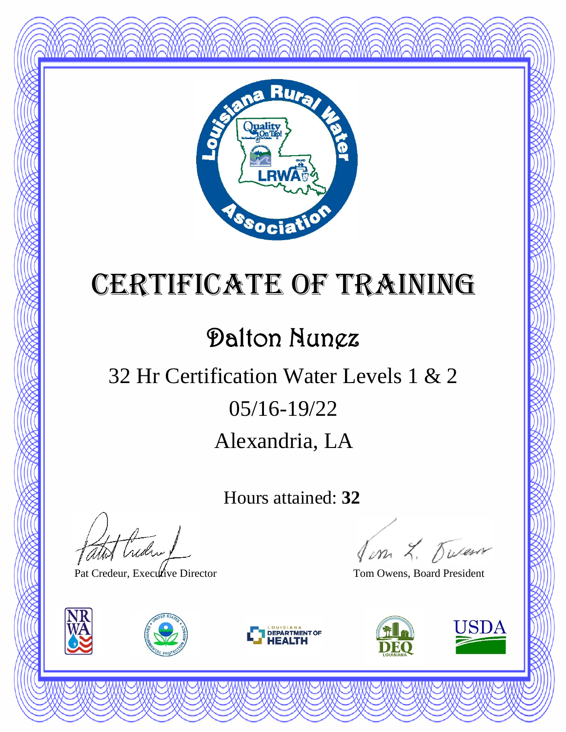

#### Dalton Nunez

### Alexandria, LA 05/16-19/22 32 Hr Certification Water Levels 1 & 2

Hours attained: **32**

thedral

Pat Credeur, Executive Director Tom Owens, Board President







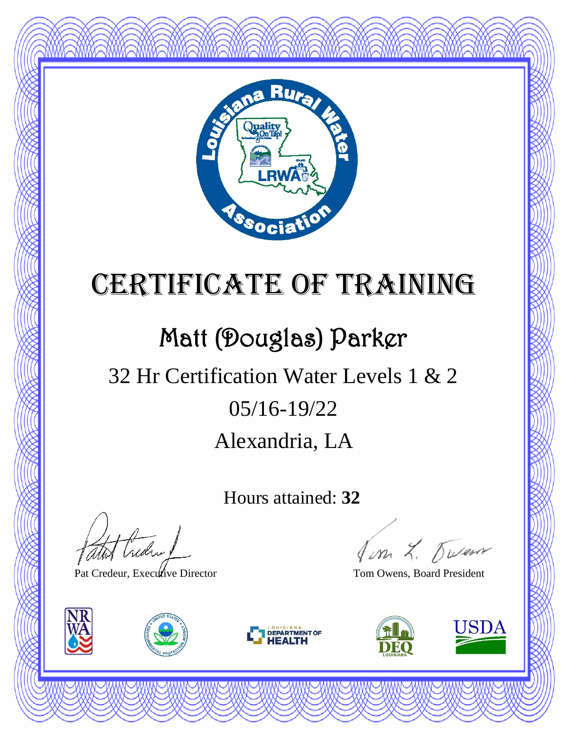

### Matt (Douglas) Parker

### Alexandria, LA 05/16-19/22 32 Hr Certification Water Levels 1 & 2

Hours attained: **32**

Hudry

Pat Credeur, Executive Director Tom Owens, Board President







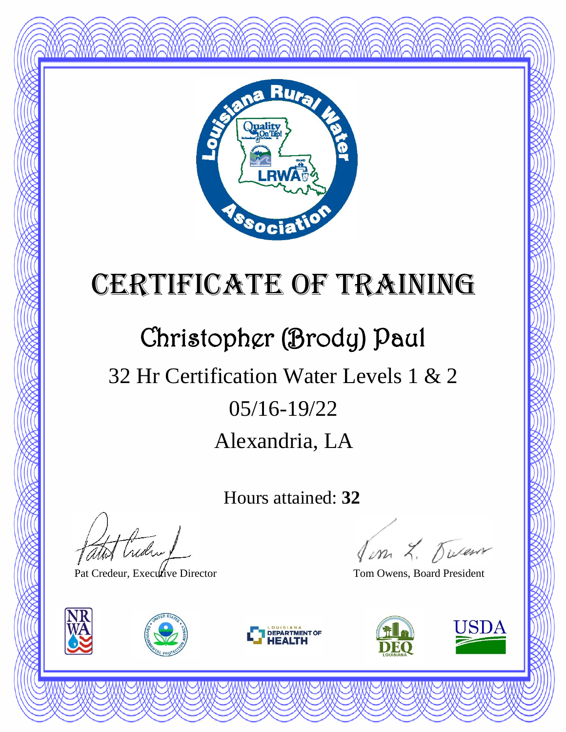

#### Christopher (Brody) Paul

### Alexandria, LA 05/16-19/22 32 Hr Certification Water Levels 1 & 2

Hours attained: **32**

theday!

Pat Credeur, Executive Director Tom Owens, Board President







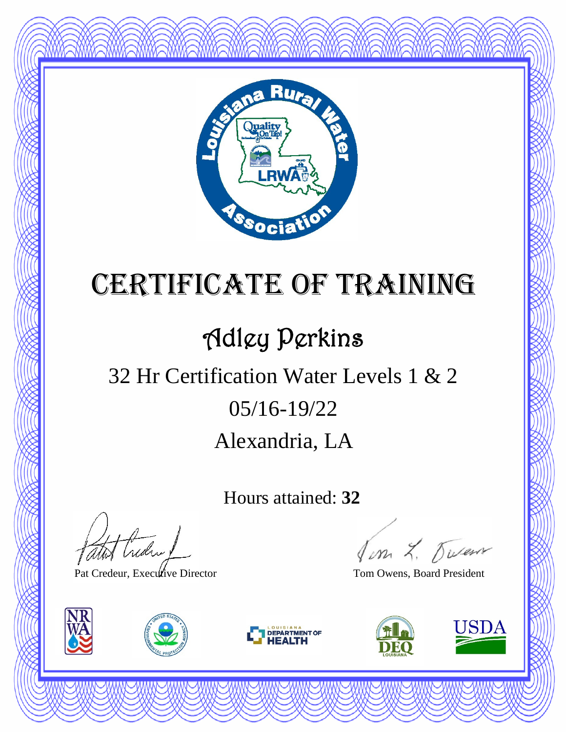

### Adley Perkins

### Alexandria, LA 05/16-19/22 32 Hr Certification Water Levels 1 & 2

Hours attained: **32**

thedral

Pat Credeur, Executive Director Tom Owens, Board President







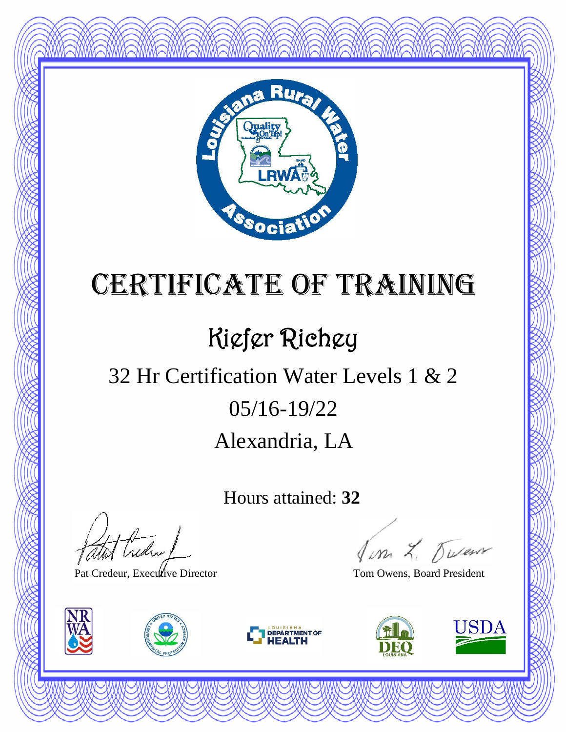

### Kiefer Richey

### Alexandria, LA 05/16-19/22 32 Hr Certification Water Levels 1 & 2

Hours attained: **32**

Hudry

Pat Credeur, Executive Director Tom Owens, Board President







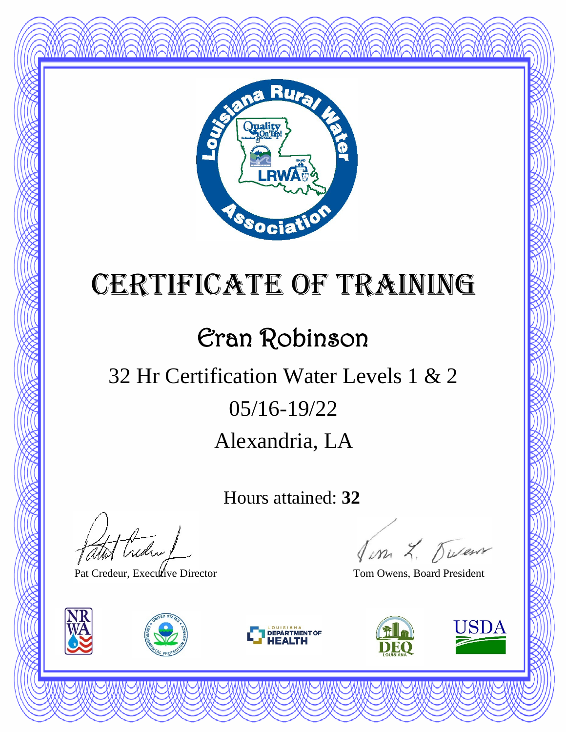

#### Eran Robinson

### Alexandria, LA 05/16-19/22 32 Hr Certification Water Levels 1 & 2

Hours attained: **32**

thedral

Pat Credeur, Executive Director Tom Owens, Board President







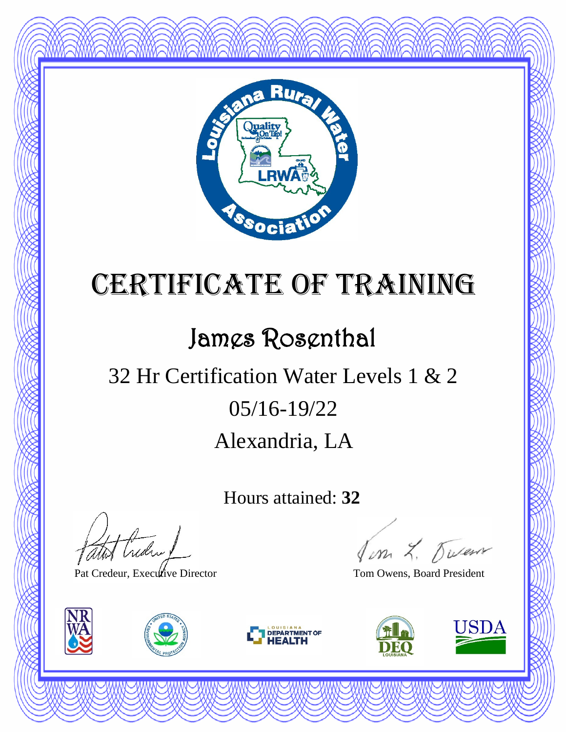

#### James Rosenthal

### Alexandria, LA 05/16-19/22 32 Hr Certification Water Levels 1 & 2

Hours attained: **32**

thedra !

Pat Credeur, Executive Director Tom Owens, Board President







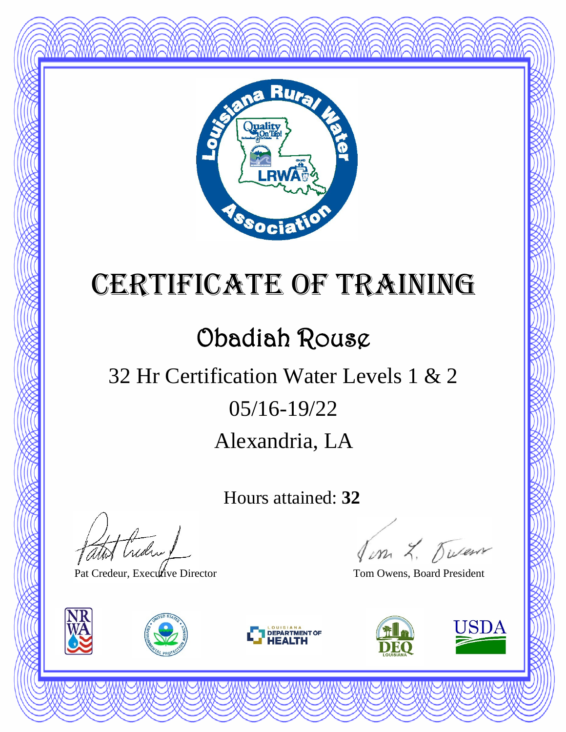

#### Obadiah Rouse

### Alexandria, LA 05/16-19/22 32 Hr Certification Water Levels 1 & 2

Hours attained: **32**

thedral

Pat Credeur, Executive Director Tom Owens, Board President







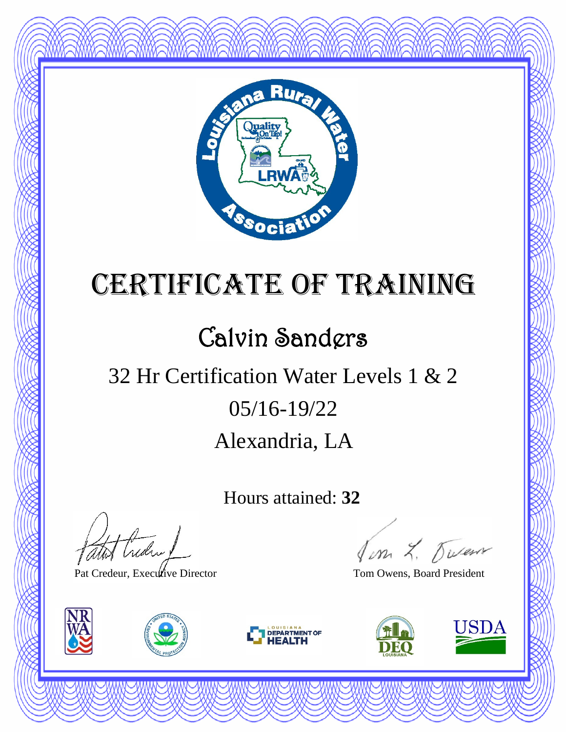

### Calvin Sanders

### Alexandria, LA 05/16-19/22 32 Hr Certification Water Levels 1 & 2

Hours attained: **32**

thedra !

Pat Credeur, Executive Director Tom Owens, Board President







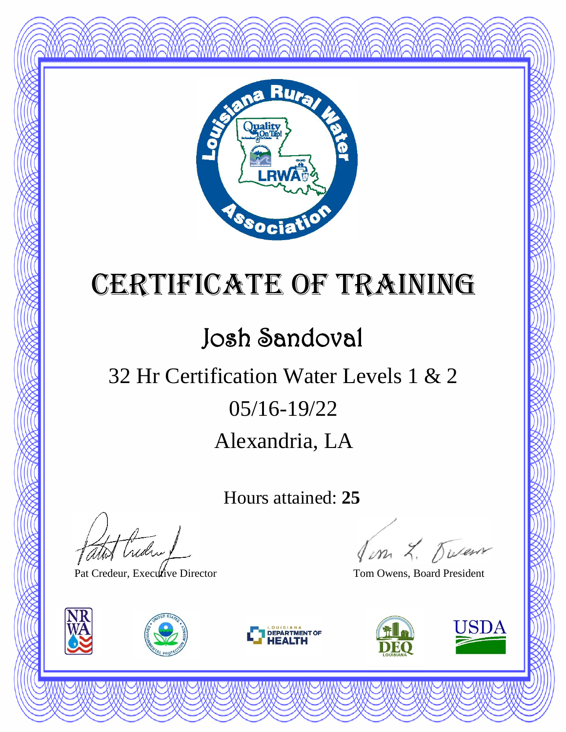

#### Josh Sandoval

#### Alexandria, LA 05/16-19/22 32 Hr Certification Water Levels 1 & 2

Hours attained: **25**

atot Creden

Pat Credeur, Executive Director Tom Owens, Board President







Jon L. Duren

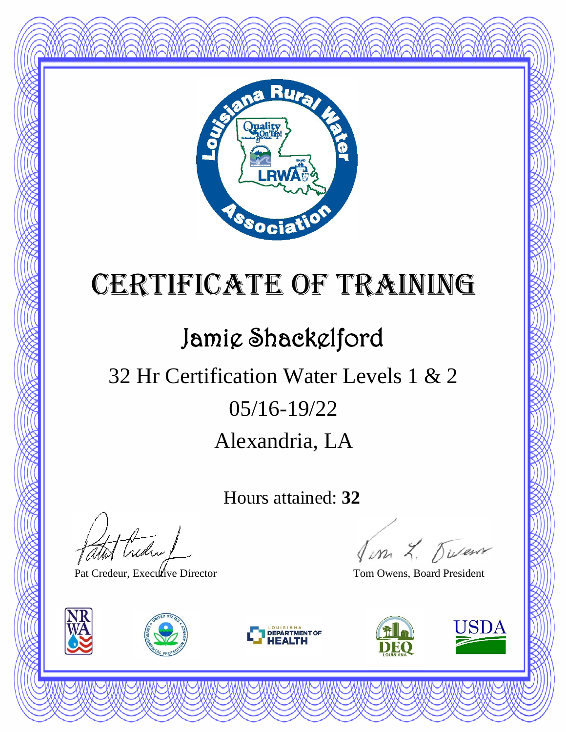

#### Jamie Shackelford

### Alexandria, LA 05/16-19/22 32 Hr Certification Water Levels 1 & 2

Hours attained: **32**

thedra !

Pat Credeur, Executive Director Tom Owens, Board President







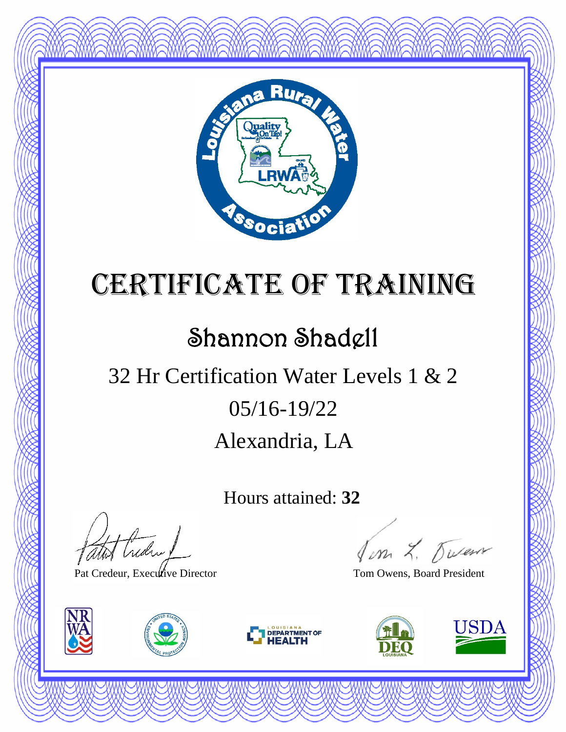

#### Shannon Shadell

### Alexandria, LA 05/16-19/22 32 Hr Certification Water Levels 1 & 2

Hours attained: **32**

thedra !

Pat Credeur, Executive Director Tom Owens, Board President







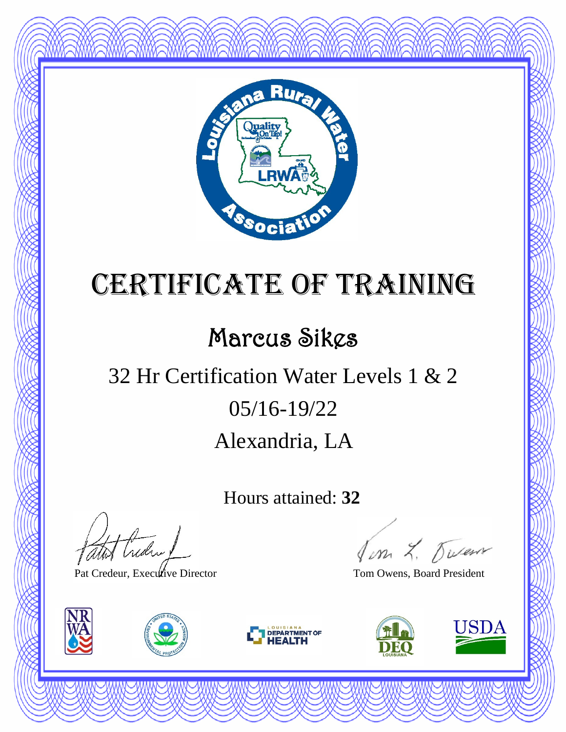

#### Marcus Sikes

### Alexandria, LA 05/16-19/22 32 Hr Certification Water Levels 1 & 2

Hours attained: **32**

thedral

Pat Credeur, Executive Director Tom Owens, Board President







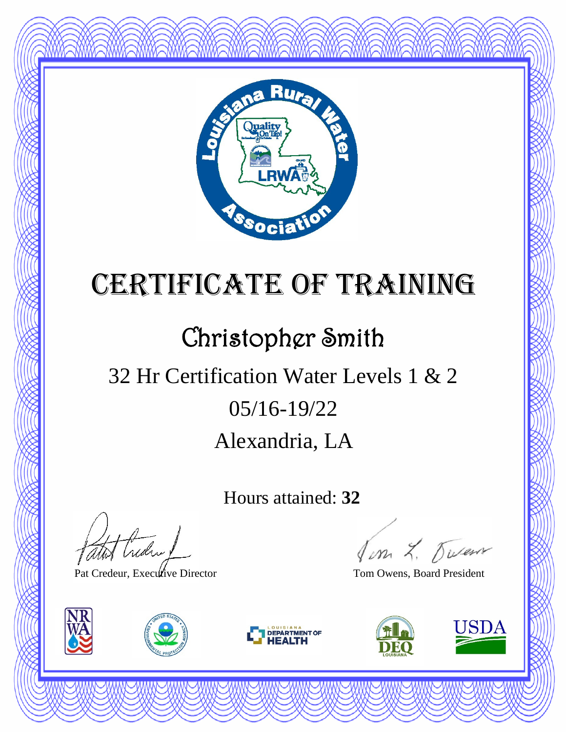

#### Christopher Smith

### Alexandria, LA 05/16-19/22 32 Hr Certification Water Levels 1 & 2

Hours attained: **32**

thedra !

Pat Credeur, Executive Director Tom Owens, Board President







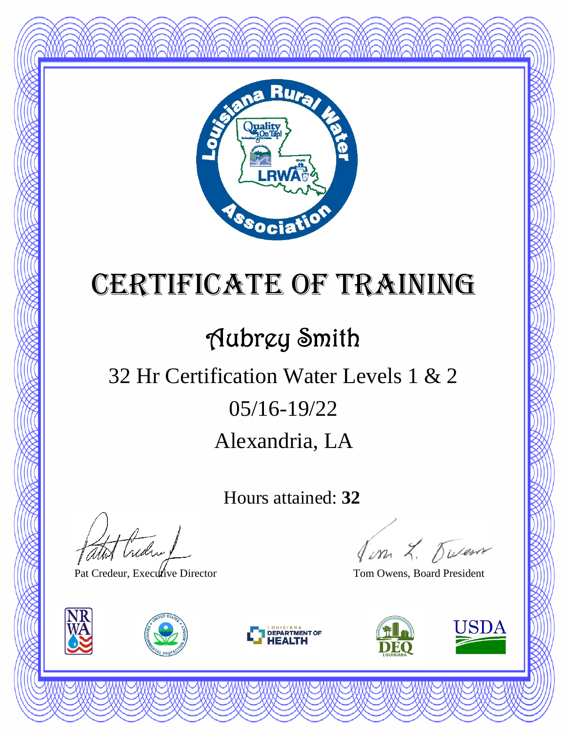

### Aubrey Smith

#### Alexandria, LA 05/16-19/22 32 Hr Certification Water Levels 1 & 2

Hours attained: **32**

thedral

Pat Credeur, Executive Director Tom Owens, Board President







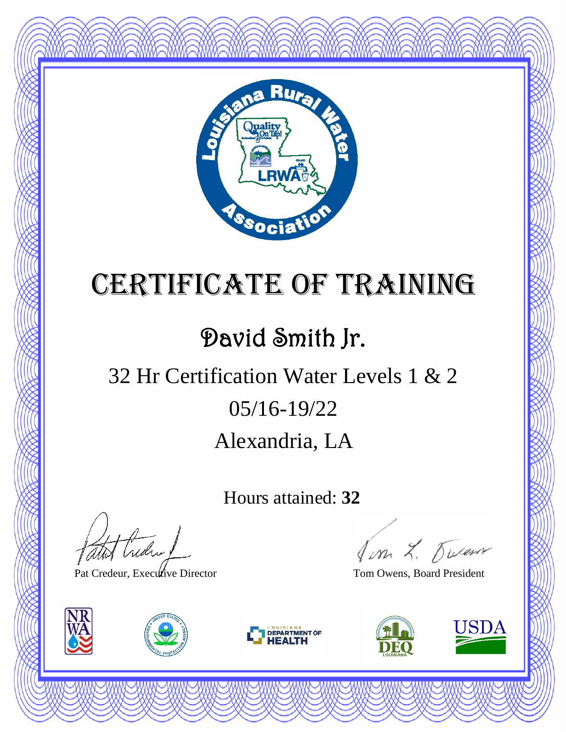

#### David Smith Jr.

### Alexandria, LA 05/16-19/22 32 Hr Certification Water Levels 1 & 2

Hours attained: **32**

thedral

Pat Credeur, Executive Director Tom Owens, Board President







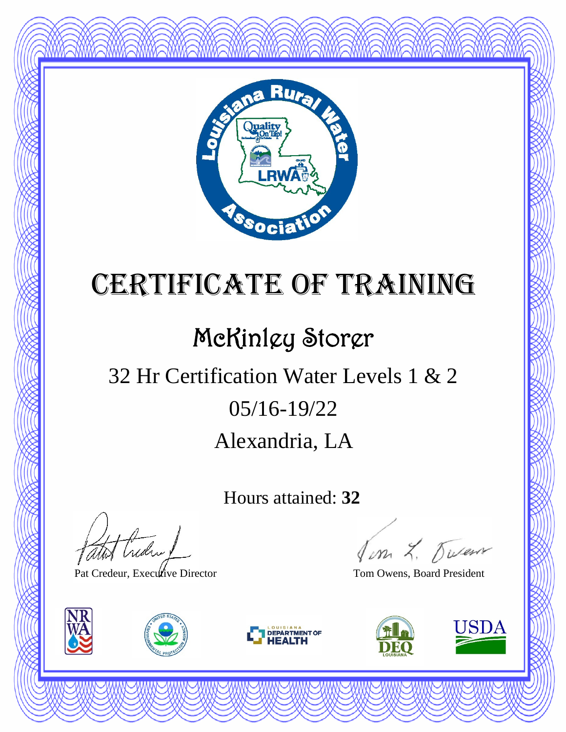

#### McKinley Storer

### Alexandria, LA 05/16-19/22 32 Hr Certification Water Levels 1 & 2

Hours attained: **32**

thedral

Pat Credeur, Executive Director Tom Owens, Board President







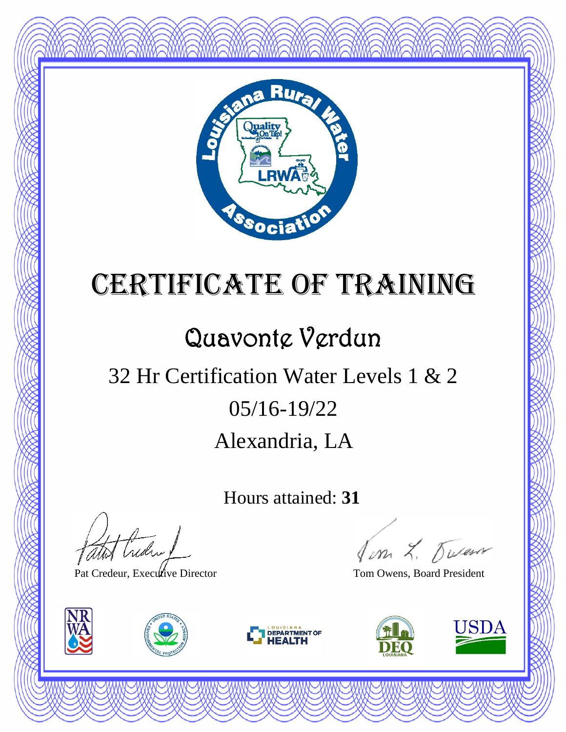

#### Quavonte Verdun

### Alexandria, LA 05/16-19/22 32 Hr Certification Water Levels 1 & 2

Hours attained: **31**

thedral

Pat Credeur, Executive Director Tom Owens, Board President







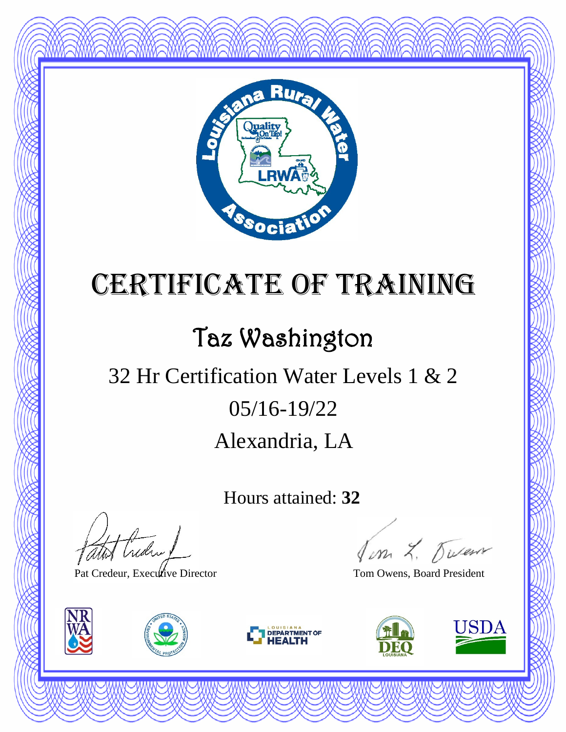

### Taz Washington

### Alexandria, LA 05/16-19/22 32 Hr Certification Water Levels 1 & 2

Hours attained: **32**

thedral

Pat Credeur, Executive Director Tom Owens, Board President







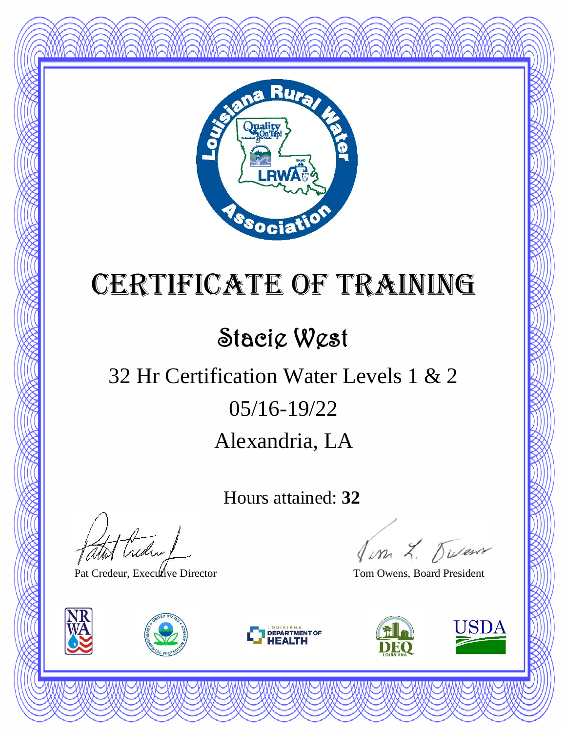

#### Stacie West

### Alexandria, LA 05/16-19/22 32 Hr Certification Water Levels 1 & 2

Hours attained: **32**

atot Creden 1

Pat Credeur, Executive Director Tom Owens, Board President







Jon L. Duren

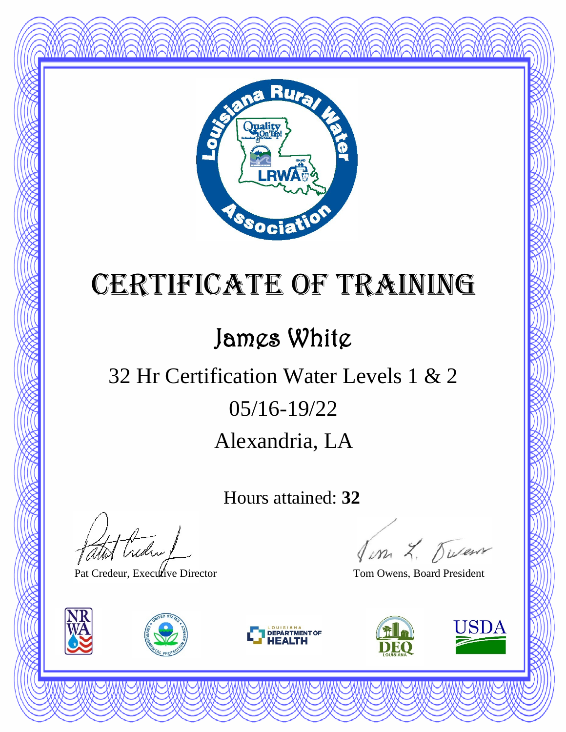

#### James White

### Alexandria, LA 05/16-19/22 32 Hr Certification Water Levels 1 & 2

Hours attained: **32**

atot Creden

Pat Credeur, Executive Director Tom Owens, Board President







Jon L. Duren

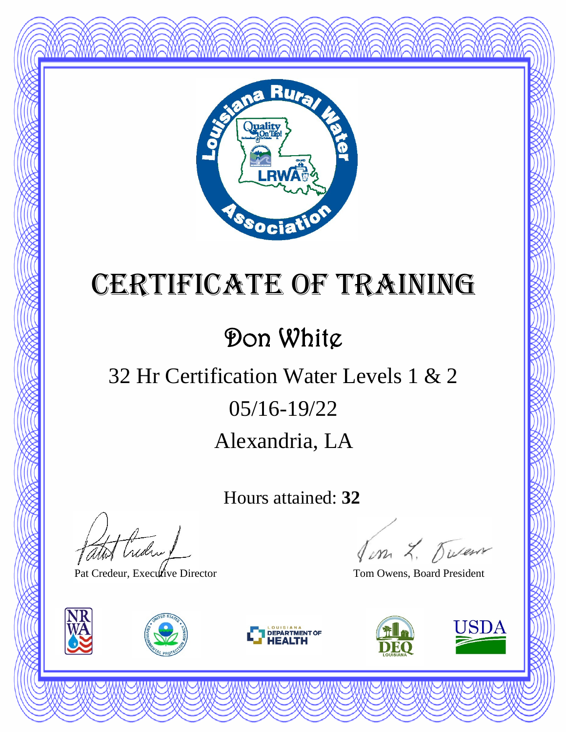

#### Don White

### Alexandria, LA 05/16-19/22 32 Hr Certification Water Levels 1 & 2

Hours attained: **32**

atot Creden 1

Pat Credeur, Executive Director Tom Owens, Board President







Jim L. Duren